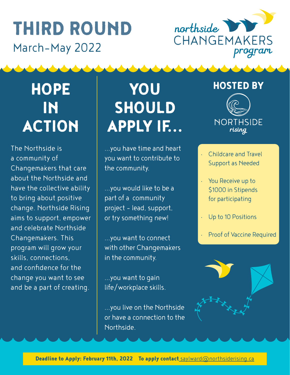## THIRD ROUND March-May 2022



## **HOPE** IN ACTION

The Northside is a community of Changemakers that care about the Northside and have the collective ability to bring about positive change. Northside Rising aims to support, empower and celebrate Northside Changemakers. This program will grow your skills, connections, and confidence for the change you want to see and be a part of creating.

# YOU SHOULD APPLY IF...

...you have time and heart you want to contribute to the community.

...you would like to be a part of a community project - lead, support, or try something new!

...you want to connect with other Changemakers in the community.

...you want to gain life/workplace skills.

...you live on the Northside or have a connection to the Northside.

#### HOSTED BY



- Childcare and Travel Support as Needed
- You Receive up to \$1000 in Stipends for participating
- Up to 10 Positions
- Proof of Vaccine Required